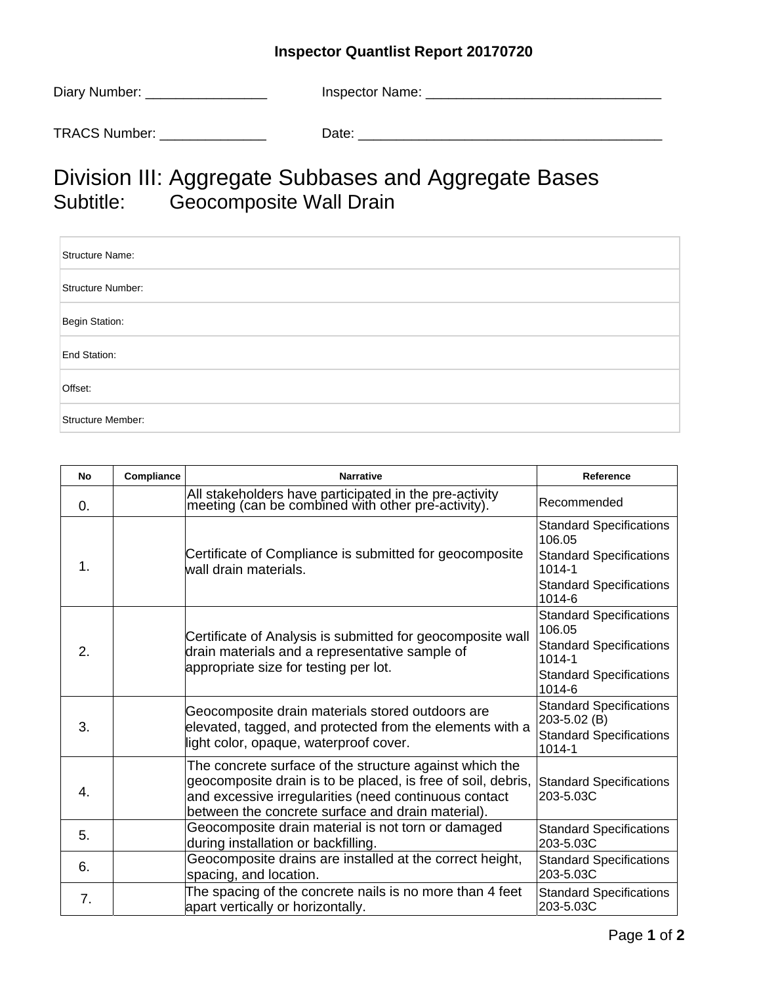## **Inspector Quantlist Report 20170720**

| Diary Number: | Inspector Name: |
|---------------|-----------------|
| TRACS Number: | Date:           |
|               |                 |

## Division III: Aggregate Subbases and Aggregate Bases<br>Subtitle: Geocomposite Wall Drain Geocomposite Wall Drain

| Structure Name:   |
|-------------------|
| Structure Number: |
| Begin Station:    |
| End Station:      |
| Offset:           |
| Structure Member: |

| <b>No</b>     | Compliance | <b>Narrative</b>                                                                                                                                                                                                                      | Reference                                                                                                                            |
|---------------|------------|---------------------------------------------------------------------------------------------------------------------------------------------------------------------------------------------------------------------------------------|--------------------------------------------------------------------------------------------------------------------------------------|
| 0.            |            | All stakeholders have participated in the pre-activity<br>meeting (can be combined with other pre-activity).                                                                                                                          | Recommended                                                                                                                          |
| $\mathbf 1$ . |            | Certificate of Compliance is submitted for geocomposite<br>wall drain materials.                                                                                                                                                      | <b>Standard Specifications</b><br>106.05<br><b>Standard Specifications</b><br>$1014 - 1$<br><b>Standard Specifications</b><br>1014-6 |
| 2.            |            | Certificate of Analysis is submitted for geocomposite wall<br>drain materials and a representative sample of<br>appropriate size for testing per lot.                                                                                 | <b>Standard Specifications</b><br>106.05<br><b>Standard Specifications</b><br>$1014 - 1$<br><b>Standard Specifications</b><br>1014-6 |
| 3.            |            | Geocomposite drain materials stored outdoors are<br>elevated, tagged, and protected from the elements with a<br>light color, opaque, waterproof cover.                                                                                | <b>Standard Specifications</b><br>203-5.02 (B)<br><b>Standard Specifications</b><br>1014-1                                           |
| 4.            |            | The concrete surface of the structure against which the<br>geocomposite drain is to be placed, is free of soil, debris,<br>and excessive irregularities (need continuous contact<br>between the concrete surface and drain material). | Standard Specifications<br>203-5.03C                                                                                                 |
| 5.            |            | Geocomposite drain material is not torn or damaged<br>during installation or backfilling.                                                                                                                                             | <b>Standard Specifications</b><br>203-5.03C                                                                                          |
| 6.            |            | Geocomposite drains are installed at the correct height,<br>spacing, and location.                                                                                                                                                    | <b>Standard Specifications</b><br>203-5.03C                                                                                          |
| 7.            |            | The spacing of the concrete nails is no more than 4 feet<br>apart vertically or horizontally.                                                                                                                                         | <b>Standard Specifications</b><br>203-5.03C                                                                                          |